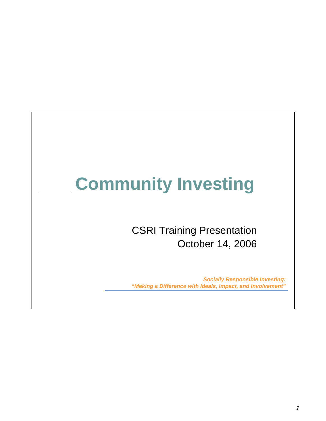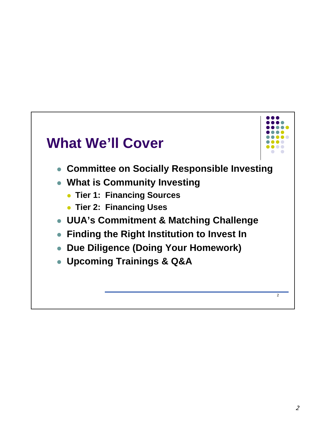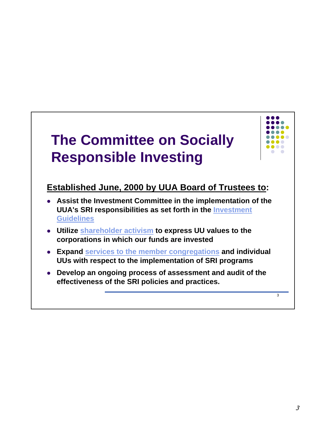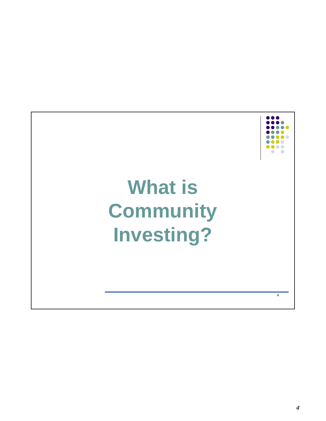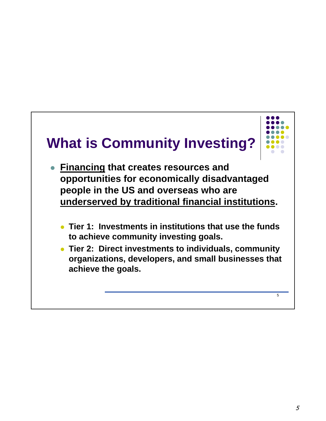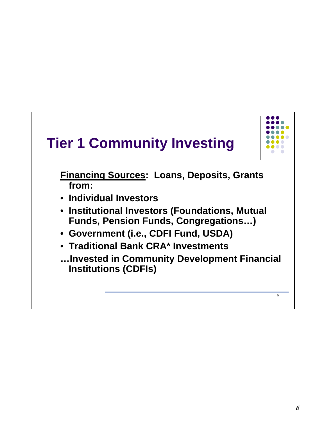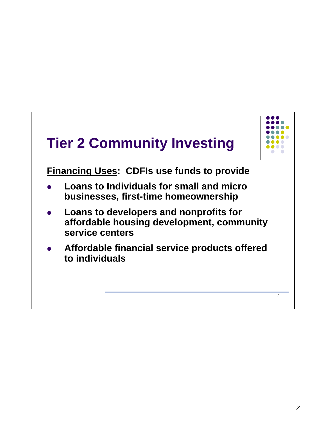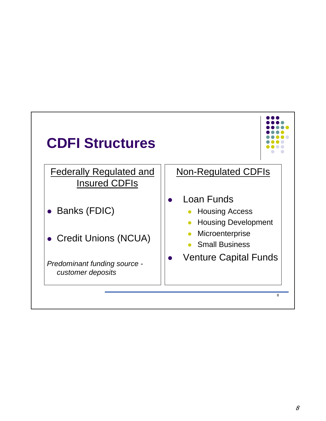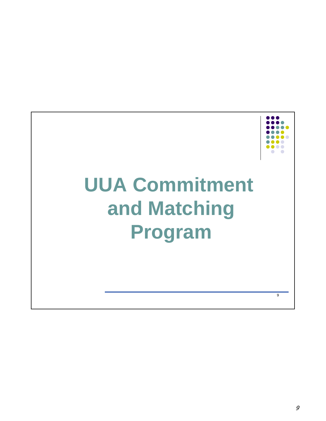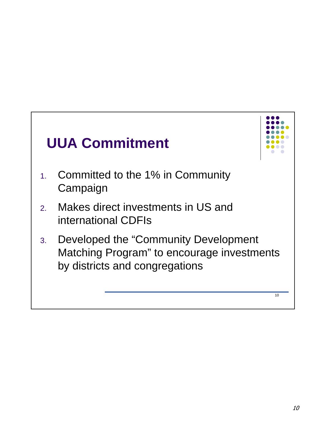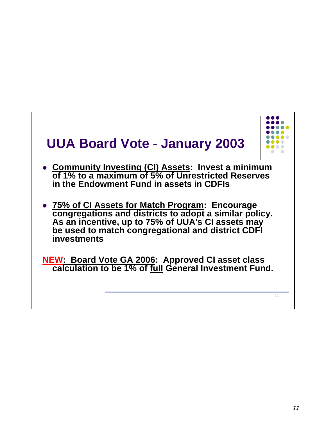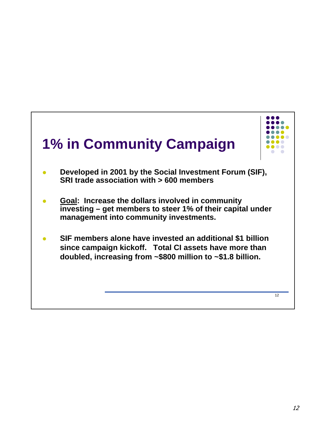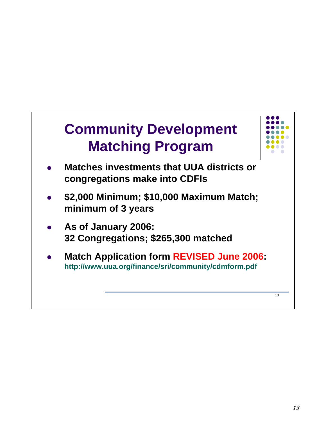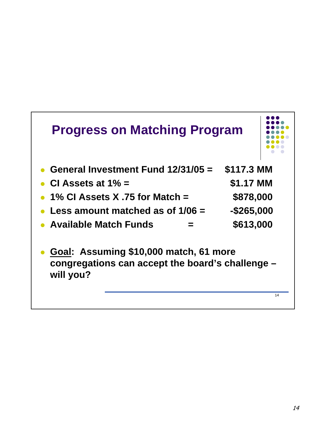| <b>Progress on Matching Program</b>                                                                     |               |           |
|---------------------------------------------------------------------------------------------------------|---------------|-----------|
| General Investment Fund 12/31/05 =                                                                      | \$117.3 MM    |           |
| \$1.17 MM<br>CI Assets at $1\%$ =                                                                       |               |           |
| 1% CI Assets X .75 for Match $=$                                                                        |               | \$878,000 |
| Less amount matched as of $1/06 =$                                                                      | $-$ \$265,000 |           |
| <b>Available Match Funds</b>                                                                            | \$613,000     |           |
| Goal: Assuming \$10,000 match, 61 more<br>congregations can accept the board's challenge -<br>will you? |               |           |
|                                                                                                         |               | 14        |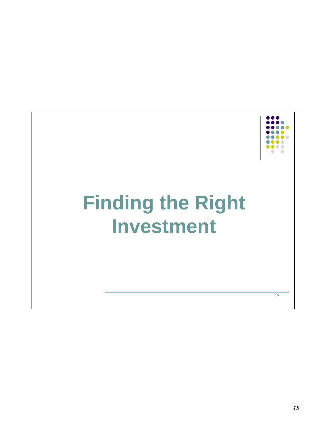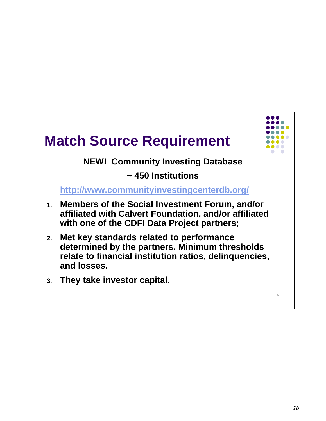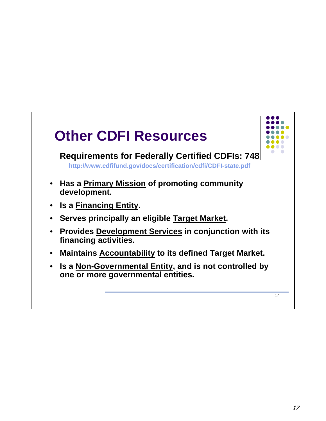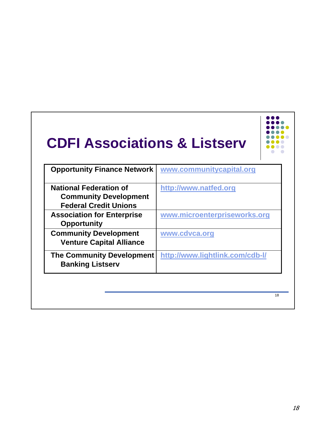| <b>CDFI Associations &amp; Listserv</b>                                                       |                                 |
|-----------------------------------------------------------------------------------------------|---------------------------------|
| <b>Opportunity Finance Network</b>                                                            | www.communitycapital.org        |
| <b>National Federation of</b><br><b>Community Development</b><br><b>Federal Credit Unions</b> | http://www.natfed.org           |
| <b>Association for Enterprise</b><br><b>Opportunity</b>                                       | www.microenterpriseworks.org    |
| <b>Community Development</b><br><b>Venture Capital Alliance</b>                               | www.cdvca.org                   |
| <b>The Community Development</b><br><b>Banking Listserv</b>                                   | http://www.lightlink.com/cdb-l/ |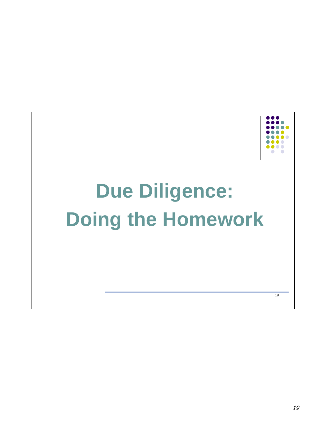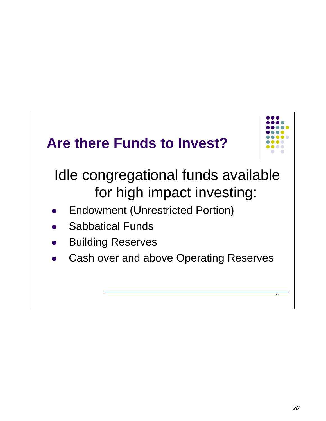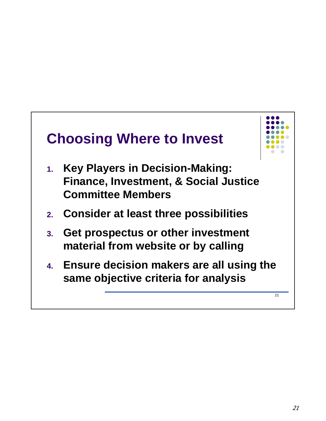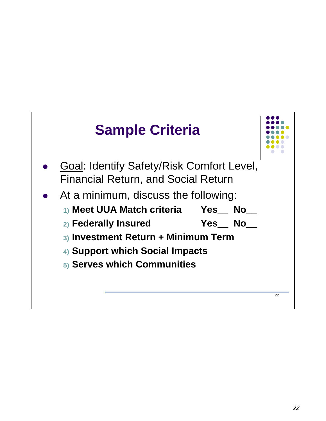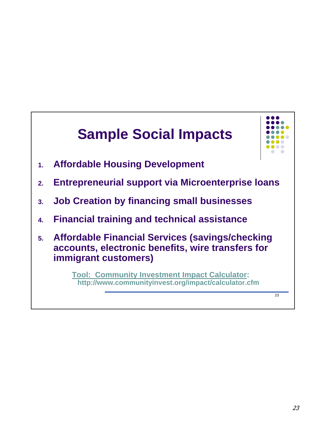